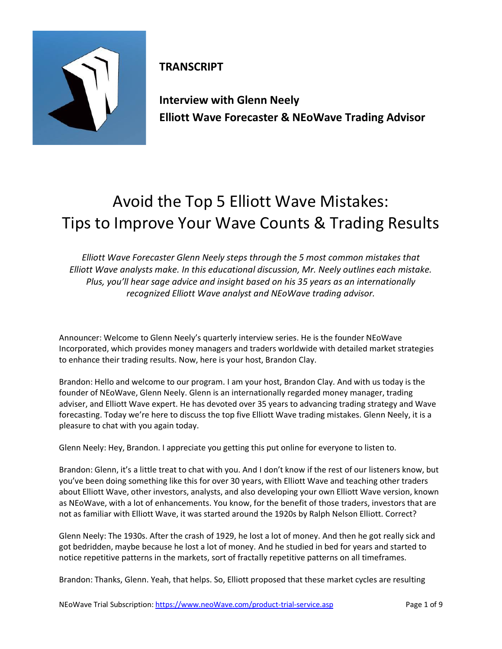

**TRANSCRIPT**

**Interview with Glenn Neely Elliott Wave Forecaster & NEoWave Trading Advisor**

## Avoid the Top 5 Elliott Wave Mistakes: Tips to Improve Your Wave Counts & Trading Results

*Elliott Wave Forecaster Glenn Neely steps through the 5 most common mistakes that Elliott Wave analysts make. In this educational discussion, Mr. Neely outlines each mistake. Plus, you'll hear sage advice and insight based on his 35 years as an internationally recognized Elliott Wave analyst and NEoWave trading advisor.*

Announcer: Welcome to Glenn Neely's quarterly interview series. He is the founder NEoWave Incorporated, which provides money managers and traders worldwide with detailed market strategies to enhance their trading results. Now, here is your host, Brandon Clay.

Brandon: Hello and welcome to our program. I am your host, Brandon Clay. And with us today is the founder of NEoWave, Glenn Neely. Glenn is an internationally regarded money manager, trading adviser, and Elliott Wave expert. He has devoted over 35 years to advancing trading strategy and Wave forecasting. Today we're here to discuss the top five Elliott Wave trading mistakes. Glenn Neely, it is a pleasure to chat with you again today.

Glenn Neely: Hey, Brandon. I appreciate you getting this put online for everyone to listen to.

Brandon: Glenn, it's a little treat to chat with you. And I don't know if the rest of our listeners know, but you've been doing something like this for over 30 years, with Elliott Wave and teaching other traders about Elliott Wave, other investors, analysts, and also developing your own Elliott Wave version, known as NEoWave, with a lot of enhancements. You know, for the benefit of those traders, investors that are not as familiar with Elliott Wave, it was started around the 1920s by Ralph Nelson Elliott. Correct?

Glenn Neely: The 1930s. After the crash of 1929, he lost a lot of money. And then he got really sick and got bedridden, maybe because he lost a lot of money. And he studied in bed for years and started to notice repetitive patterns in the markets, sort of fractally repetitive patterns on all timeframes.

Brandon: Thanks, Glenn. Yeah, that helps. So, Elliott proposed that these market cycles are resulting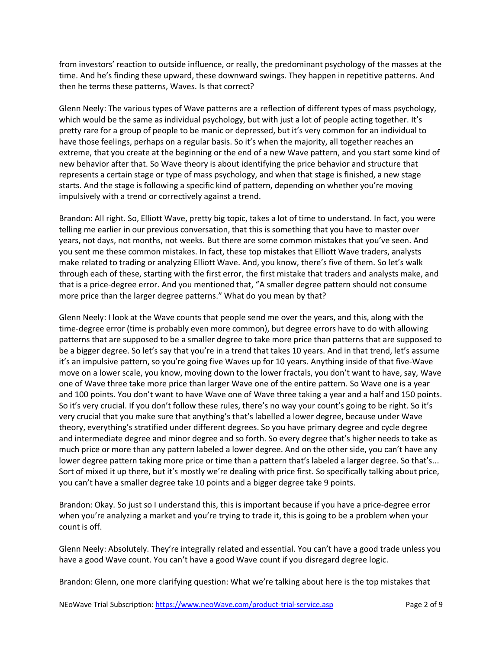from investors' reaction to outside influence, or really, the predominant psychology of the masses at the time. And he's finding these upward, these downward swings. They happen in repetitive patterns. And then he terms these patterns, Waves. Is that correct?

Glenn Neely: The various types of Wave patterns are a reflection of different types of mass psychology, which would be the same as individual psychology, but with just a lot of people acting together. It's pretty rare for a group of people to be manic or depressed, but it's very common for an individual to have those feelings, perhaps on a regular basis. So it's when the majority, all together reaches an extreme, that you create at the beginning or the end of a new Wave pattern, and you start some kind of new behavior after that. So Wave theory is about identifying the price behavior and structure that represents a certain stage or type of mass psychology, and when that stage is finished, a new stage starts. And the stage is following a specific kind of pattern, depending on whether you're moving impulsively with a trend or correctively against a trend.

Brandon: All right. So, Elliott Wave, pretty big topic, takes a lot of time to understand. In fact, you were telling me earlier in our previous conversation, that this is something that you have to master over years, not days, not months, not weeks. But there are some common mistakes that you've seen. And you sent me these common mistakes. In fact, these top mistakes that Elliott Wave traders, analysts make related to trading or analyzing Elliott Wave. And, you know, there's five of them. So let's walk through each of these, starting with the first error, the first mistake that traders and analysts make, and that is a price-degree error. And you mentioned that, "A smaller degree pattern should not consume more price than the larger degree patterns." What do you mean by that?

Glenn Neely: I look at the Wave counts that people send me over the years, and this, along with the time-degree error (time is probably even more common), but degree errors have to do with allowing patterns that are supposed to be a smaller degree to take more price than patterns that are supposed to be a bigger degree. So let's say that you're in a trend that takes 10 years. And in that trend, let's assume it's an impulsive pattern, so you're going five Waves up for 10 years. Anything inside of that five-Wave move on a lower scale, you know, moving down to the lower fractals, you don't want to have, say, Wave one of Wave three take more price than larger Wave one of the entire pattern. So Wave one is a year and 100 points. You don't want to have Wave one of Wave three taking a year and a half and 150 points. So it's very crucial. If you don't follow these rules, there's no way your count's going to be right. So it's very crucial that you make sure that anything's that's labelled a lower degree, because under Wave theory, everything's stratified under different degrees. So you have primary degree and cycle degree and intermediate degree and minor degree and so forth. So every degree that's higher needs to take as much price or more than any pattern labeled a lower degree. And on the other side, you can't have any lower degree pattern taking more price or time than a pattern that's labeled a larger degree. So that's... Sort of mixed it up there, but it's mostly we're dealing with price first. So specifically talking about price, you can't have a smaller degree take 10 points and a bigger degree take 9 points.

Brandon: Okay. So just so I understand this, this is important because if you have a price-degree error when you're analyzing a market and you're trying to trade it, this is going to be a problem when your count is off.

Glenn Neely: Absolutely. They're integrally related and essential. You can't have a good trade unless you have a good Wave count. You can't have a good Wave count if you disregard degree logic.

Brandon: Glenn, one more clarifying question: What we're talking about here is the top mistakes that

NEoWave Trial Subscription: https://www.neoWave.com/product-trial-service.asp Page 2 of 9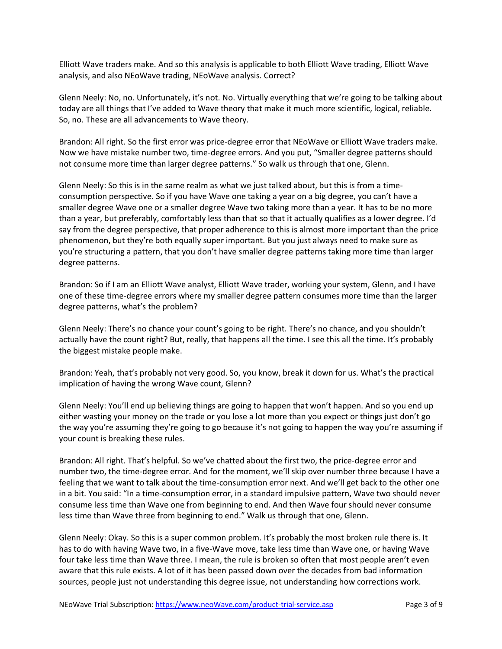Elliott Wave traders make. And so this analysis is applicable to both Elliott Wave trading, Elliott Wave analysis, and also NEoWave trading, NEoWave analysis. Correct?

Glenn Neely: No, no. Unfortunately, it's not. No. Virtually everything that we're going to be talking about today are all things that I've added to Wave theory that make it much more scientific, logical, reliable. So, no. These are all advancements to Wave theory.

Brandon: All right. So the first error was price-degree error that NEoWave or Elliott Wave traders make. Now we have mistake number two, time-degree errors. And you put, "Smaller degree patterns should not consume more time than larger degree patterns." So walk us through that one, Glenn.

Glenn Neely: So this is in the same realm as what we just talked about, but this is from a timeconsumption perspective. So if you have Wave one taking a year on a big degree, you can't have a smaller degree Wave one or a smaller degree Wave two taking more than a year. It has to be no more than a year, but preferably, comfortably less than that so that it actually qualifies as a lower degree. I'd say from the degree perspective, that proper adherence to this is almost more important than the price phenomenon, but they're both equally super important. But you just always need to make sure as you're structuring a pattern, that you don't have smaller degree patterns taking more time than larger degree patterns.

Brandon: So if I am an Elliott Wave analyst, Elliott Wave trader, working your system, Glenn, and I have one of these time-degree errors where my smaller degree pattern consumes more time than the larger degree patterns, what's the problem?

Glenn Neely: There's no chance your count's going to be right. There's no chance, and you shouldn't actually have the count right? But, really, that happens all the time. I see this all the time. It's probably the biggest mistake people make.

Brandon: Yeah, that's probably not very good. So, you know, break it down for us. What's the practical implication of having the wrong Wave count, Glenn?

Glenn Neely: You'll end up believing things are going to happen that won't happen. And so you end up either wasting your money on the trade or you lose a lot more than you expect or things just don't go the way you're assuming they're going to go because it's not going to happen the way you're assuming if your count is breaking these rules.

Brandon: All right. That's helpful. So we've chatted about the first two, the price-degree error and number two, the time-degree error. And for the moment, we'll skip over number three because I have a feeling that we want to talk about the time-consumption error next. And we'll get back to the other one in a bit. You said: "In a time-consumption error, in a standard impulsive pattern, Wave two should never consume less time than Wave one from beginning to end. And then Wave four should never consume less time than Wave three from beginning to end." Walk us through that one, Glenn.

Glenn Neely: Okay. So this is a super common problem. It's probably the most broken rule there is. It has to do with having Wave two, in a five-Wave move, take less time than Wave one, or having Wave four take less time than Wave three. I mean, the rule is broken so often that most people aren't even aware that this rule exists. A lot of it has been passed down over the decades from bad information sources, people just not understanding this degree issue, not understanding how corrections work.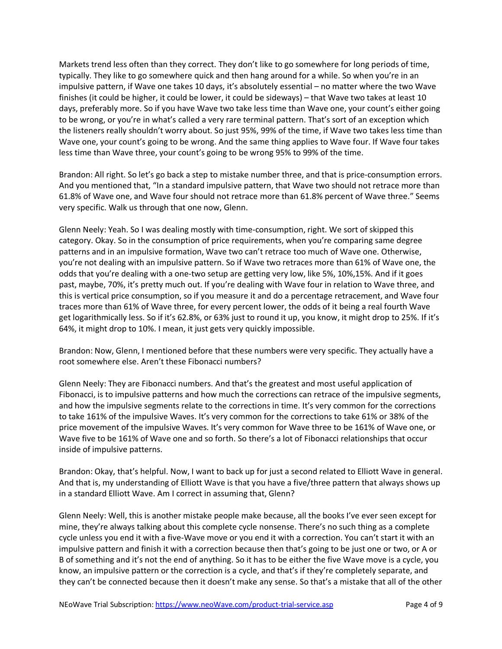Markets trend less often than they correct. They don't like to go somewhere for long periods of time, typically. They like to go somewhere quick and then hang around for a while. So when you're in an impulsive pattern, if Wave one takes 10 days, it's absolutely essential – no matter where the two Wave finishes (it could be higher, it could be lower, it could be sideways) – that Wave two takes at least 10 days, preferably more. So if you have Wave two take less time than Wave one, your count's either going to be wrong, or you're in what's called a very rare terminal pattern. That's sort of an exception which the listeners really shouldn't worry about. So just 95%, 99% of the time, if Wave two takes less time than Wave one, your count's going to be wrong. And the same thing applies to Wave four. If Wave four takes less time than Wave three, your count's going to be wrong 95% to 99% of the time.

Brandon: All right. So let's go back a step to mistake number three, and that is price-consumption errors. And you mentioned that, "In a standard impulsive pattern, that Wave two should not retrace more than 61.8% of Wave one, and Wave four should not retrace more than 61.8% percent of Wave three." Seems very specific. Walk us through that one now, Glenn.

Glenn Neely: Yeah. So I was dealing mostly with time-consumption, right. We sort of skipped this category. Okay. So in the consumption of price requirements, when you're comparing same degree patterns and in an impulsive formation, Wave two can't retrace too much of Wave one. Otherwise, you're not dealing with an impulsive pattern. So if Wave two retraces more than 61% of Wave one, the odds that you're dealing with a one-two setup are getting very low, like 5%, 10%,15%. And if it goes past, maybe, 70%, it's pretty much out. If you're dealing with Wave four in relation to Wave three, and this is vertical price consumption, so if you measure it and do a percentage retracement, and Wave four traces more than 61% of Wave three, for every percent lower, the odds of it being a real fourth Wave get logarithmically less. So if it's 62.8%, or 63% just to round it up, you know, it might drop to 25%. If it's 64%, it might drop to 10%. I mean, it just gets very quickly impossible.

Brandon: Now, Glenn, I mentioned before that these numbers were very specific. They actually have a root somewhere else. Aren't these Fibonacci numbers?

Glenn Neely: They are Fibonacci numbers. And that's the greatest and most useful application of Fibonacci, is to impulsive patterns and how much the corrections can retrace of the impulsive segments, and how the impulsive segments relate to the corrections in time. It's very common for the corrections to take 161% of the impulsive Waves. It's very common for the corrections to take 61% or 38% of the price movement of the impulsive Waves. It's very common for Wave three to be 161% of Wave one, or Wave five to be 161% of Wave one and so forth. So there's a lot of Fibonacci relationships that occur inside of impulsive patterns.

Brandon: Okay, that's helpful. Now, I want to back up for just a second related to Elliott Wave in general. And that is, my understanding of Elliott Wave is that you have a five/three pattern that always shows up in a standard Elliott Wave. Am I correct in assuming that, Glenn?

Glenn Neely: Well, this is another mistake people make because, all the books I've ever seen except for mine, they're always talking about this complete cycle nonsense. There's no such thing as a complete cycle unless you end it with a five-Wave move or you end it with a correction. You can't start it with an impulsive pattern and finish it with a correction because then that's going to be just one or two, or A or B of something and it's not the end of anything. So it has to be either the five Wave move is a cycle, you know, an impulsive pattern or the correction is a cycle, and that's if they're completely separate, and they can't be connected because then it doesn't make any sense. So that's a mistake that all of the other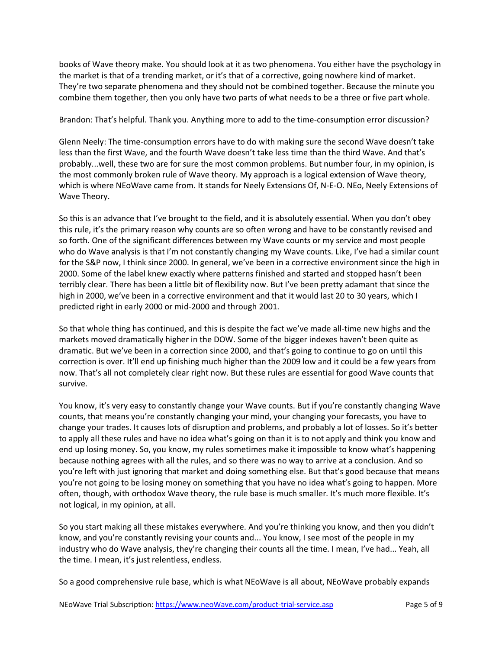books of Wave theory make. You should look at it as two phenomena. You either have the psychology in the market is that of a trending market, or it's that of a corrective, going nowhere kind of market. They're two separate phenomena and they should not be combined together. Because the minute you combine them together, then you only have two parts of what needs to be a three or five part whole.

## Brandon: That's helpful. Thank you. Anything more to add to the time-consumption error discussion?

Glenn Neely: The time-consumption errors have to do with making sure the second Wave doesn't take less than the first Wave, and the fourth Wave doesn't take less time than the third Wave. And that's probably...well, these two are for sure the most common problems. But number four, in my opinion, is the most commonly broken rule of Wave theory. My approach is a logical extension of Wave theory, which is where NEoWave came from. It stands for Neely Extensions Of, N-E-O. NEo, Neely Extensions of Wave Theory.

So this is an advance that I've brought to the field, and it is absolutely essential. When you don't obey this rule, it's the primary reason why counts are so often wrong and have to be constantly revised and so forth. One of the significant differences between my Wave counts or my service and most people who do Wave analysis is that I'm not constantly changing my Wave counts. Like, I've had a similar count for the S&P now, I think since 2000. In general, we've been in a corrective environment since the high in 2000. Some of the label knew exactly where patterns finished and started and stopped hasn't been terribly clear. There has been a little bit of flexibility now. But I've been pretty adamant that since the high in 2000, we've been in a corrective environment and that it would last 20 to 30 years, which I predicted right in early 2000 or mid-2000 and through 2001.

So that whole thing has continued, and this is despite the fact we've made all-time new highs and the markets moved dramatically higher in the DOW. Some of the bigger indexes haven't been quite as dramatic. But we've been in a correction since 2000, and that's going to continue to go on until this correction is over. It'll end up finishing much higher than the 2009 low and it could be a few years from now. That's all not completely clear right now. But these rules are essential for good Wave counts that survive.

You know, it's very easy to constantly change your Wave counts. But if you're constantly changing Wave counts, that means you're constantly changing your mind, your changing your forecasts, you have to change your trades. It causes lots of disruption and problems, and probably a lot of losses. So it's better to apply all these rules and have no idea what's going on than it is to not apply and think you know and end up losing money. So, you know, my rules sometimes make it impossible to know what's happening because nothing agrees with all the rules, and so there was no way to arrive at a conclusion. And so you're left with just ignoring that market and doing something else. But that's good because that means you're not going to be losing money on something that you have no idea what's going to happen. More often, though, with orthodox Wave theory, the rule base is much smaller. It's much more flexible. It's not logical, in my opinion, at all.

So you start making all these mistakes everywhere. And you're thinking you know, and then you didn't know, and you're constantly revising your counts and... You know, I see most of the people in my industry who do Wave analysis, they're changing their counts all the time. I mean, I've had... Yeah, all the time. I mean, it's just relentless, endless.

So a good comprehensive rule base, which is what NEoWave is all about, NEoWave probably expands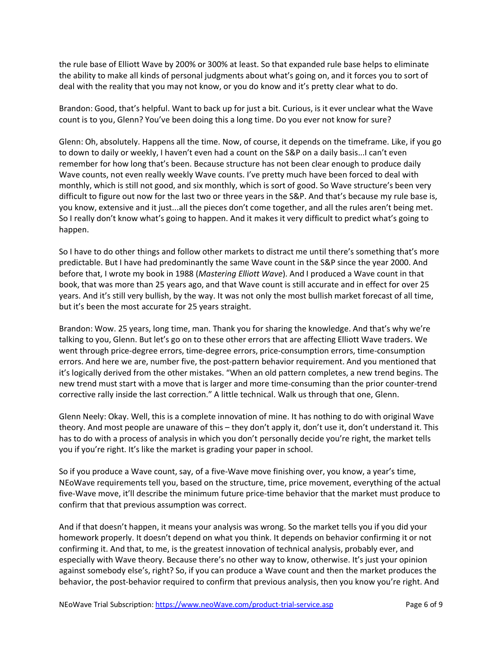the rule base of Elliott Wave by 200% or 300% at least. So that expanded rule base helps to eliminate the ability to make all kinds of personal judgments about what's going on, and it forces you to sort of deal with the reality that you may not know, or you do know and it's pretty clear what to do.

Brandon: Good, that's helpful. Want to back up for just a bit. Curious, is it ever unclear what the Wave count is to you, Glenn? You've been doing this a long time. Do you ever not know for sure?

Glenn: Oh, absolutely. Happens all the time. Now, of course, it depends on the timeframe. Like, if you go to down to daily or weekly, I haven't even had a count on the S&P on a daily basis...I can't even remember for how long that's been. Because structure has not been clear enough to produce daily Wave counts, not even really weekly Wave counts. I've pretty much have been forced to deal with monthly, which is still not good, and six monthly, which is sort of good. So Wave structure's been very difficult to figure out now for the last two or three years in the S&P. And that's because my rule base is, you know, extensive and it just...all the pieces don't come together, and all the rules aren't being met. So I really don't know what's going to happen. And it makes it very difficult to predict what's going to happen.

So I have to do other things and follow other markets to distract me until there's something that's more predictable. But I have had predominantly the same Wave count in the S&P since the year 2000. And before that, I wrote my book in 1988 (*Mastering Elliott Wave*). And I produced a Wave count in that book, that was more than 25 years ago, and that Wave count is still accurate and in effect for over 25 years. And it's still very bullish, by the way. It was not only the most bullish market forecast of all time, but it's been the most accurate for 25 years straight.

Brandon: Wow. 25 years, long time, man. Thank you for sharing the knowledge. And that's why we're talking to you, Glenn. But let's go on to these other errors that are affecting Elliott Wave traders. We went through price-degree errors, time-degree errors, price-consumption errors, time-consumption errors. And here we are, number five, the post-pattern behavior requirement. And you mentioned that it's logically derived from the other mistakes. "When an old pattern completes, a new trend begins. The new trend must start with a move that is larger and more time-consuming than the prior counter-trend corrective rally inside the last correction." A little technical. Walk us through that one, Glenn.

Glenn Neely: Okay. Well, this is a complete innovation of mine. It has nothing to do with original Wave theory. And most people are unaware of this – they don't apply it, don't use it, don't understand it. This has to do with a process of analysis in which you don't personally decide you're right, the market tells you if you're right. It's like the market is grading your paper in school.

So if you produce a Wave count, say, of a five-Wave move finishing over, you know, a year's time, NEoWave requirements tell you, based on the structure, time, price movement, everything of the actual five-Wave move, it'll describe the minimum future price-time behavior that the market must produce to confirm that that previous assumption was correct.

And if that doesn't happen, it means your analysis was wrong. So the market tells you if you did your homework properly. It doesn't depend on what you think. It depends on behavior confirming it or not confirming it. And that, to me, is the greatest innovation of technical analysis, probably ever, and especially with Wave theory. Because there's no other way to know, otherwise. It's just your opinion against somebody else's, right? So, if you can produce a Wave count and then the market produces the behavior, the post-behavior required to confirm that previous analysis, then you know you're right. And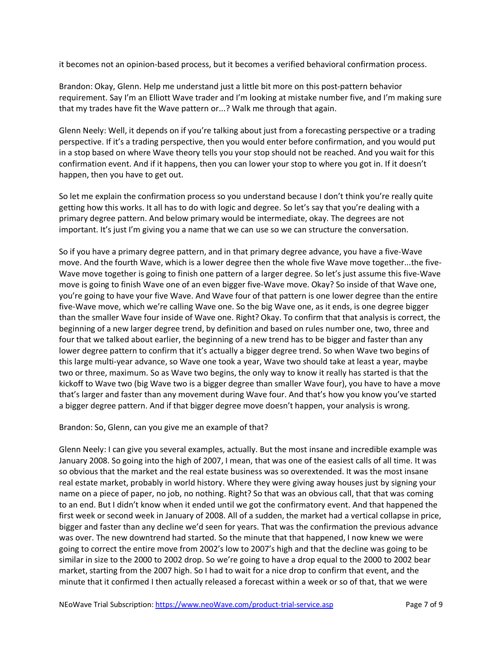it becomes not an opinion-based process, but it becomes a verified behavioral confirmation process.

Brandon: Okay, Glenn. Help me understand just a little bit more on this post-pattern behavior requirement. Say I'm an Elliott Wave trader and I'm looking at mistake number five, and I'm making sure that my trades have fit the Wave pattern or...? Walk me through that again.

Glenn Neely: Well, it depends on if you're talking about just from a forecasting perspective or a trading perspective. If it's a trading perspective, then you would enter before confirmation, and you would put in a stop based on where Wave theory tells you your stop should not be reached. And you wait for this confirmation event. And if it happens, then you can lower your stop to where you got in. If it doesn't happen, then you have to get out.

So let me explain the confirmation process so you understand because I don't think you're really quite getting how this works. It all has to do with logic and degree. So let's say that you're dealing with a primary degree pattern. And below primary would be intermediate, okay. The degrees are not important. It's just I'm giving you a name that we can use so we can structure the conversation.

So if you have a primary degree pattern, and in that primary degree advance, you have a five-Wave move. And the fourth Wave, which is a lower degree then the whole five Wave move together...the five-Wave move together is going to finish one pattern of a larger degree. So let's just assume this five-Wave move is going to finish Wave one of an even bigger five-Wave move. Okay? So inside of that Wave one, you're going to have your five Wave. And Wave four of that pattern is one lower degree than the entire five-Wave move, which we're calling Wave one. So the big Wave one, as it ends, is one degree bigger than the smaller Wave four inside of Wave one. Right? Okay. To confirm that that analysis is correct, the beginning of a new larger degree trend, by definition and based on rules number one, two, three and four that we talked about earlier, the beginning of a new trend has to be bigger and faster than any lower degree pattern to confirm that it's actually a bigger degree trend. So when Wave two begins of this large multi-year advance, so Wave one took a year, Wave two should take at least a year, maybe two or three, maximum. So as Wave two begins, the only way to know it really has started is that the kickoff to Wave two (big Wave two is a bigger degree than smaller Wave four), you have to have a move that's larger and faster than any movement during Wave four. And that's how you know you've started a bigger degree pattern. And if that bigger degree move doesn't happen, your analysis is wrong.

Brandon: So, Glenn, can you give me an example of that?

Glenn Neely: I can give you several examples, actually. But the most insane and incredible example was January 2008. So going into the high of 2007, I mean, that was one of the easiest calls of all time. It was so obvious that the market and the real estate business was so overextended. It was the most insane real estate market, probably in world history. Where they were giving away houses just by signing your name on a piece of paper, no job, no nothing. Right? So that was an obvious call, that that was coming to an end. But I didn't know when it ended until we got the confirmatory event. And that happened the first week or second week in January of 2008. All of a sudden, the market had a vertical collapse in price, bigger and faster than any decline we'd seen for years. That was the confirmation the previous advance was over. The new downtrend had started. So the minute that that happened, I now knew we were going to correct the entire move from 2002's low to 2007's high and that the decline was going to be similar in size to the 2000 to 2002 drop. So we're going to have a drop equal to the 2000 to 2002 bear market, starting from the 2007 high. So I had to wait for a nice drop to confirm that event, and the minute that it confirmed I then actually released a forecast within a week or so of that, that we were

NEoWave Trial Subscription: https://www.neoWave.com/product-trial-service.asp Page 7 of 9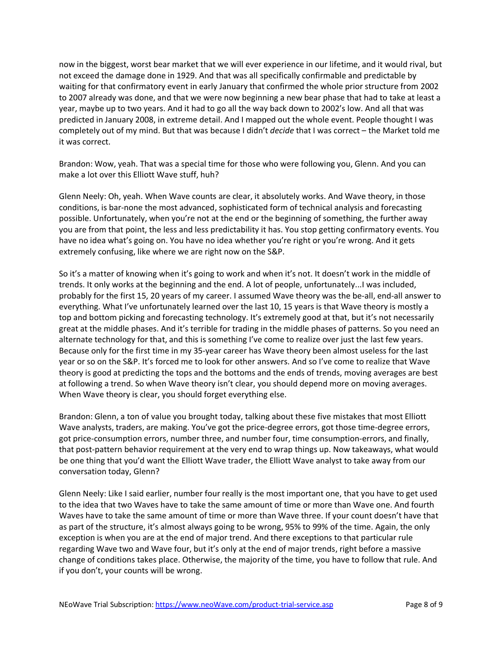now in the biggest, worst bear market that we will ever experience in our lifetime, and it would rival, but not exceed the damage done in 1929. And that was all specifically confirmable and predictable by waiting for that confirmatory event in early January that confirmed the whole prior structure from 2002 to 2007 already was done, and that we were now beginning a new bear phase that had to take at least a year, maybe up to two years. And it had to go all the way back down to 2002's low. And all that was predicted in January 2008, in extreme detail. And I mapped out the whole event. People thought I was completely out of my mind. But that was because I didn't *decide* that I was correct – the Market told me it was correct.

Brandon: Wow, yeah. That was a special time for those who were following you, Glenn. And you can make a lot over this Elliott Wave stuff, huh?

Glenn Neely: Oh, yeah. When Wave counts are clear, it absolutely works. And Wave theory, in those conditions, is bar-none the most advanced, sophisticated form of technical analysis and forecasting possible. Unfortunately, when you're not at the end or the beginning of something, the further away you are from that point, the less and less predictability it has. You stop getting confirmatory events. You have no idea what's going on. You have no idea whether you're right or you're wrong. And it gets extremely confusing, like where we are right now on the S&P.

So it's a matter of knowing when it's going to work and when it's not. It doesn't work in the middle of trends. It only works at the beginning and the end. A lot of people, unfortunately...I was included, probably for the first 15, 20 years of my career. I assumed Wave theory was the be-all, end-all answer to everything. What I've unfortunately learned over the last 10, 15 years is that Wave theory is mostly a top and bottom picking and forecasting technology. It's extremely good at that, but it's not necessarily great at the middle phases. And it's terrible for trading in the middle phases of patterns. So you need an alternate technology for that, and this is something I've come to realize over just the last few years. Because only for the first time in my 35-year career has Wave theory been almost useless for the last year or so on the S&P. It's forced me to look for other answers. And so I've come to realize that Wave theory is good at predicting the tops and the bottoms and the ends of trends, moving averages are best at following a trend. So when Wave theory isn't clear, you should depend more on moving averages. When Wave theory is clear, you should forget everything else.

Brandon: Glenn, a ton of value you brought today, talking about these five mistakes that most Elliott Wave analysts, traders, are making. You've got the price-degree errors, got those time-degree errors, got price-consumption errors, number three, and number four, time consumption-errors, and finally, that post-pattern behavior requirement at the very end to wrap things up. Now takeaways, what would be one thing that you'd want the Elliott Wave trader, the Elliott Wave analyst to take away from our conversation today, Glenn?

Glenn Neely: Like I said earlier, number four really is the most important one, that you have to get used to the idea that two Waves have to take the same amount of time or more than Wave one. And fourth Waves have to take the same amount of time or more than Wave three. If your count doesn't have that as part of the structure, it's almost always going to be wrong, 95% to 99% of the time. Again, the only exception is when you are at the end of major trend. And there exceptions to that particular rule regarding Wave two and Wave four, but it's only at the end of major trends, right before a massive change of conditions takes place. Otherwise, the majority of the time, you have to follow that rule. And if you don't, your counts will be wrong.